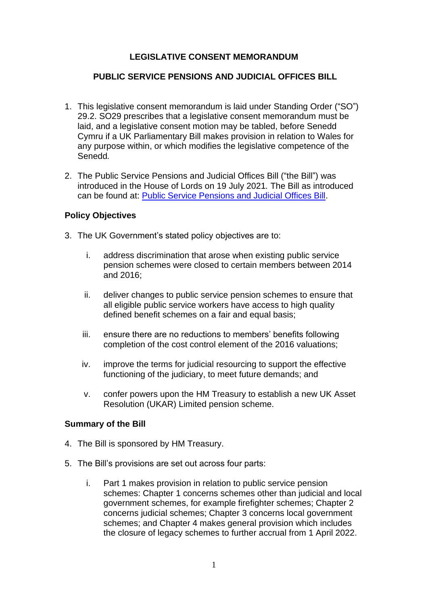# **LEGISLATIVE CONSENT MEMORANDUM**

# **PUBLIC SERVICE PENSIONS AND JUDICIAL OFFICES BILL**

- 1. This legislative consent memorandum is laid under Standing Order ("SO") 29.2. SO29 prescribes that a legislative consent memorandum must be laid, and a legislative consent motion may be tabled, before Senedd Cymru if a UK Parliamentary Bill makes provision in relation to Wales for any purpose within, or which modifies the legislative competence of the Senedd*.*
- 2. The Public Service Pensions and Judicial Offices Bill ("the Bill") was introduced in the House of Lords on 19 July 2021*.* The Bill as introduced can be found at: [Public Service Pensions and Judicial Offices Bill.](https://bills.parliament.uk/publications/42278/documents/567)

### **Policy Objectives**

- 3. The UK Government's stated policy objectives are to:
	- i. address discrimination that arose when existing public service pension schemes were closed to certain members between 2014 and 2016;
	- ii. deliver changes to public service pension schemes to ensure that all eligible public service workers have access to high quality defined benefit schemes on a fair and equal basis;
	- iii. ensure there are no reductions to members' benefits following completion of the cost control element of the 2016 valuations;
	- iv. improve the terms for judicial resourcing to support the effective functioning of the judiciary, to meet future demands; and
	- v. confer powers upon the HM Treasury to establish a new UK Asset Resolution (UKAR) Limited pension scheme.

#### **Summary of the Bill**

- 4. The Bill is sponsored by HM Treasury.
- 5. The Bill's provisions are set out across four parts:
	- i. Part 1 makes provision in relation to public service pension schemes: Chapter 1 concerns schemes other than judicial and local government schemes, for example firefighter schemes; Chapter 2 concerns judicial schemes; Chapter 3 concerns local government schemes; and Chapter 4 makes general provision which includes the closure of legacy schemes to further accrual from 1 April 2022.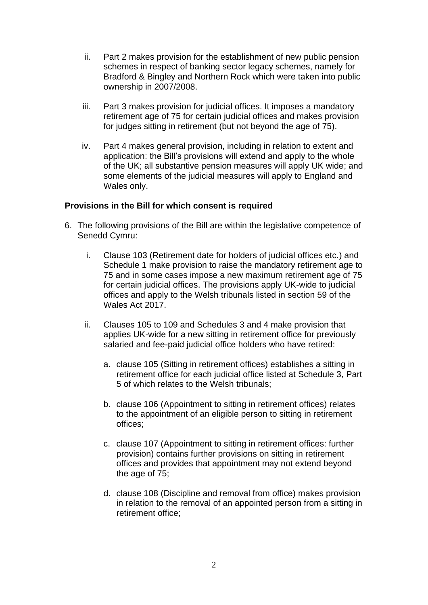- ii. Part 2 makes provision for the establishment of new public pension schemes in respect of banking sector legacy schemes, namely for Bradford & Bingley and Northern Rock which were taken into public ownership in 2007/2008.
- iii. Part 3 makes provision for judicial offices. It imposes a mandatory retirement age of 75 for certain judicial offices and makes provision for judges sitting in retirement (but not beyond the age of 75).
- iv. Part 4 makes general provision, including in relation to extent and application: the Bill's provisions will extend and apply to the whole of the UK; all substantive pension measures will apply UK wide; and some elements of the judicial measures will apply to England and Wales only.

### **Provisions in the Bill for which consent is required**

- 6. The following provisions of the Bill are within the legislative competence of Senedd Cymru:
	- i. Clause 103 (Retirement date for holders of judicial offices etc.) and Schedule 1 make provision to raise the mandatory retirement age to 75 and in some cases impose a new maximum retirement age of 75 for certain judicial offices. The provisions apply UK-wide to judicial offices and apply to the Welsh tribunals listed in section 59 of the Wales Act 2017.
	- ii. Clauses 105 to 109 and Schedules 3 and 4 make provision that applies UK-wide for a new sitting in retirement office for previously salaried and fee-paid judicial office holders who have retired:
		- a. clause 105 (Sitting in retirement offices) establishes a sitting in retirement office for each judicial office listed at Schedule 3, Part 5 of which relates to the Welsh tribunals;
		- b. clause 106 (Appointment to sitting in retirement offices) relates to the appointment of an eligible person to sitting in retirement offices;
		- c. clause 107 (Appointment to sitting in retirement offices: further provision) contains further provisions on sitting in retirement offices and provides that appointment may not extend beyond the age of 75;
		- d. clause 108 (Discipline and removal from office) makes provision in relation to the removal of an appointed person from a sitting in retirement office;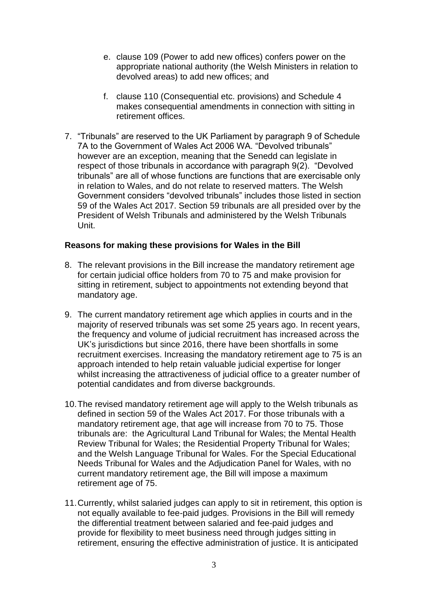- e. clause 109 (Power to add new offices) confers power on the appropriate national authority (the Welsh Ministers in relation to devolved areas) to add new offices; and
- f. clause 110 (Consequential etc. provisions) and Schedule 4 makes consequential amendments in connection with sitting in retirement offices.
- 7. "Tribunals" are reserved to the UK Parliament by paragraph 9 of Schedule 7A to the Government of Wales Act 2006 WA. "Devolved tribunals" however are an exception, meaning that the Senedd can legislate in respect of those tribunals in accordance with paragraph 9(2). "Devolved tribunals" are all of whose functions are functions that are exercisable only in relation to Wales, and do not relate to reserved matters. The Welsh Government considers "devolved tribunals" includes those listed in section 59 of the Wales Act 2017. Section 59 tribunals are all presided over by the President of Welsh Tribunals and administered by the Welsh Tribunals Unit.

### **Reasons for making these provisions for Wales in the Bill**

- 8. The relevant provisions in the Bill increase the mandatory retirement age for certain judicial office holders from 70 to 75 and make provision for sitting in retirement, subject to appointments not extending beyond that mandatory age.
- 9. The current mandatory retirement age which applies in courts and in the majority of reserved tribunals was set some 25 years ago. In recent years, the frequency and volume of judicial recruitment has increased across the UK's jurisdictions but since 2016, there have been shortfalls in some recruitment exercises. Increasing the mandatory retirement age to 75 is an approach intended to help retain valuable judicial expertise for longer whilst increasing the attractiveness of judicial office to a greater number of potential candidates and from diverse backgrounds.
- 10.The revised mandatory retirement age will apply to the Welsh tribunals as defined in section 59 of the Wales Act 2017. For those tribunals with a mandatory retirement age, that age will increase from 70 to 75. Those tribunals are: the Agricultural Land Tribunal for Wales; the Mental Health Review Tribunal for Wales; the Residential Property Tribunal for Wales; and the Welsh Language Tribunal for Wales. For the Special Educational Needs Tribunal for Wales and the Adjudication Panel for Wales, with no current mandatory retirement age, the Bill will impose a maximum retirement age of 75.
- 11.Currently, whilst salaried judges can apply to sit in retirement, this option is not equally available to fee-paid judges. Provisions in the Bill will remedy the differential treatment between salaried and fee-paid judges and provide for flexibility to meet business need through judges sitting in retirement, ensuring the effective administration of justice. It is anticipated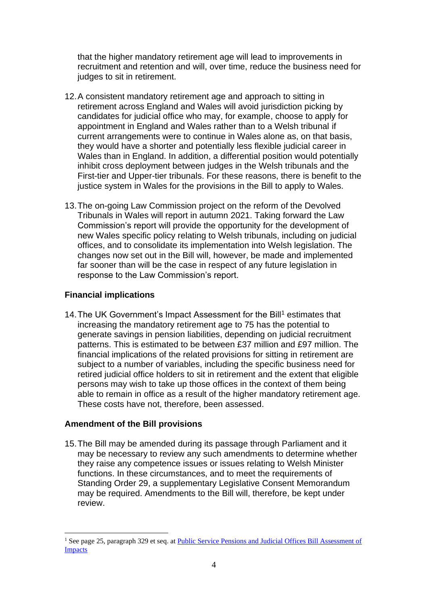that the higher mandatory retirement age will lead to improvements in recruitment and retention and will, over time, reduce the business need for judges to sit in retirement.

- 12.A consistent mandatory retirement age and approach to sitting in retirement across England and Wales will avoid jurisdiction picking by candidates for judicial office who may, for example, choose to apply for appointment in England and Wales rather than to a Welsh tribunal if current arrangements were to continue in Wales alone as, on that basis, they would have a shorter and potentially less flexible judicial career in Wales than in England. In addition, a differential position would potentially inhibit cross deployment between judges in the Welsh tribunals and the First-tier and Upper-tier tribunals. For these reasons, there is benefit to the justice system in Wales for the provisions in the Bill to apply to Wales.
- 13.The on-going Law Commission project on the reform of the Devolved Tribunals in Wales will report in autumn 2021. Taking forward the Law Commission's report will provide the opportunity for the development of new Wales specific policy relating to Welsh tribunals, including on judicial offices, and to consolidate its implementation into Welsh legislation. The changes now set out in the Bill will, however, be made and implemented far sooner than will be the case in respect of any future legislation in response to the Law Commission's report.

## **Financial implications**

14. The UK Government's Impact Assessment for the Bill<sup>1</sup> estimates that increasing the mandatory retirement age to 75 has the potential to generate savings in pension liabilities, depending on judicial recruitment patterns. This is estimated to be between £37 million and £97 million. The financial implications of the related provisions for sitting in retirement are subject to a number of variables, including the specific business need for retired judicial office holders to sit in retirement and the extent that eligible persons may wish to take up those offices in the context of them being able to remain in office as a result of the higher mandatory retirement age. These costs have not, therefore, been assessed.

# **Amendment of the Bill provisions**

15.The Bill may be amended during its passage through Parliament and it may be necessary to review any such amendments to determine whether they raise any competence issues or issues relating to Welsh Minister functions. In these circumstances, and to meet the requirements of Standing Order 29, a supplementary Legislative Consent Memorandum may be required. Amendments to the Bill will, therefore, be kept under review.

<sup>&</sup>lt;sup>1</sup> See page 25, paragraph 329 et seq. at Public Service Pensions and Judicial Offices Bill Assessment of [Impacts](https://bills.parliament.uk/publications/42311/documents/575)